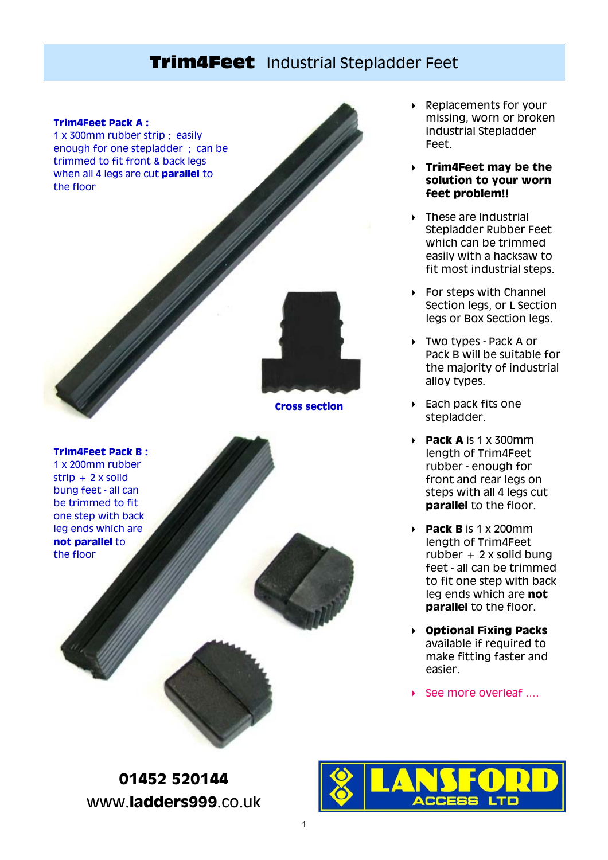## **Trim4Feet** Industrial Stepladder Feet



 $strip + 2x$  solid bung feet - all can be trimmed to fit one step with back leg ends which are **not parallel** to the floor

▶ Replacements for your missing, worn or broken Industrial Stepladder Feet.

 **Trim4Feet may be the solution to your worn feet problem!!**

**Figure** 1 These are Industrial Stepladder Rubber Feet which can be trimmed easily with a hacksaw to fit most industrial steps.

 $\triangleright$  For steps with Channel Section legs, or L Section legs or Box Section legs.

 Two types - Pack A or Pack B will be suitable for the majority of industrial alloy types.

▶ Each pack fits one stepladder.

 $\rightarrow$  **Pack A** is 1 x 300mm length of Trim4Feet rubber - enough for front and rear legs on steps with all 4 legs cut **parallel** to the floor.

 **Pack B** is 1 x 200mm length of Trim4Feet  $rubber + 2 x solid bung$ feet - all can be trimmed to fit one step with back leg ends which are **not parallel** to the floor.

 **Optional Fixing Packs** available if required to make fitting faster and easier.

▶ See more overleaf ....

**01452 520144**  www.**ladders999**.co.uk

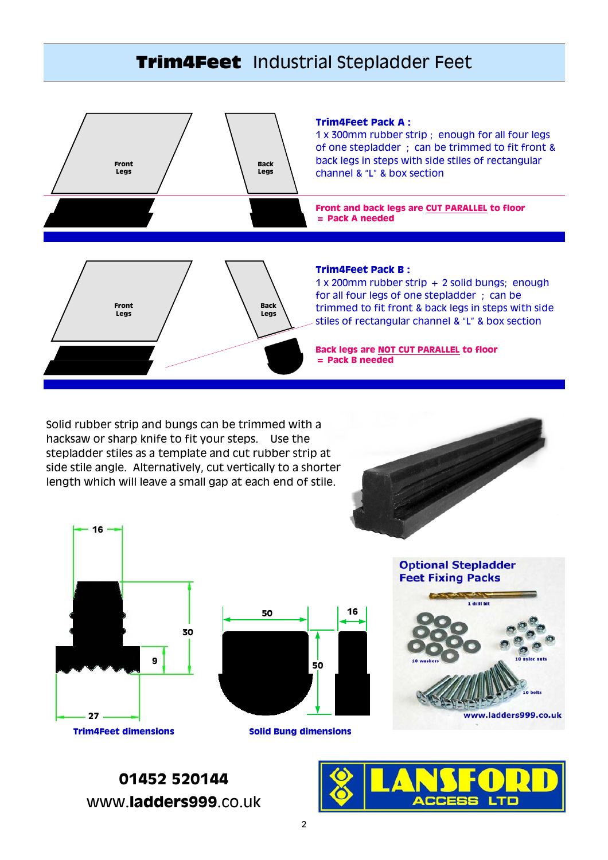# **Trim4Feet** Industrial Stepladder Feet



Solid rubber strip and bungs can be trimmed with a hacksaw or sharp knife to fit your steps. Use the stepladder stiles as a template and cut rubber strip at side stile angle. Alternatively, cut vertically to a shorter length which will leave a small gap at each end of stile.







**Solid Bung dimensions**



**01452 520144**  www.**ladders999**.co.uk

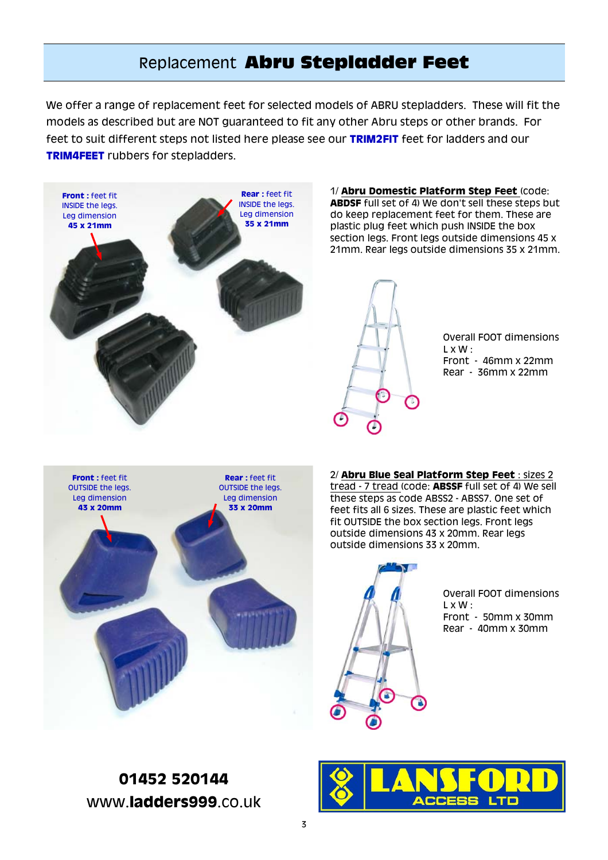## Replacement **Abru Stepladder Feet**

We offer a range of replacement feet for selected models of ABRU stepladders. These will fit the models as described but are NOT guaranteed to fit any other Abru steps or other brands. For feet to suit different steps not listed here please see our **TRIM2FIT** feet for ladders and our **TRIM4FEET** rubbers for stepladders.



1/ **Abru Domestic Platform Step Feet** (code: **ABDSF** full set of 4) We don't sell these steps but do keep replacement feet for them. These are plastic plug feet which push INSIDE the box section legs. Front legs outside dimensions 45 x 21mm. Rear legs outside dimensions 35 x 21mm.

Overall FOOT dimensions L x W : Front - 46mm x 22mm Rear - 36mm x 22mm



2/ **Abru Blue Seal Platform Step Feet** : sizes 2 tread - 7 tread (code: **ABSSF** full set of 4) We sell these steps as code ABSS2 - ABSS7. One set of feet fits all 6 sizes. These are plastic feet which fit OUTSIDE the box section legs. Front legs outside dimensions 43 x 20mm. Rear legs outside dimensions 33 x 20mm.



Overall FOOT dimensions  $L \times W$ : Front - 50mm x 30mm Rear - 40mm x 30mm

**01452 520144**  www.**ladders999**.co.uk